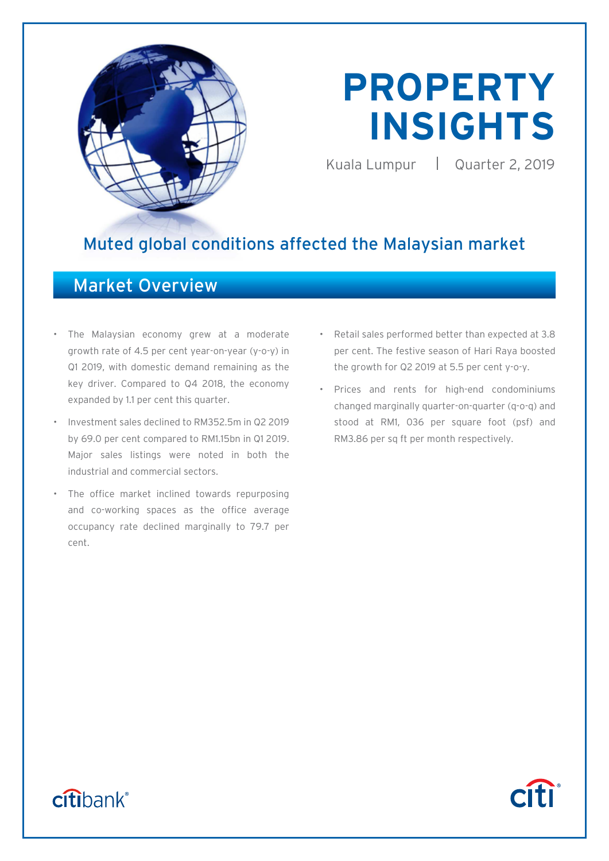

# **PROPERTY INSIGHTS**

Kuala Lumpur | Quarter 2, 2019

# Muted global conditions affected the Malaysian market

# Market Overview

- The Malaysian economy grew at a moderate growth rate of 4.5 per cent year-on-year (y-o-y) in Q1 2019, with domestic demand remaining as the key driver. Compared to Q4 2018, the economy expanded by 1.1 per cent this quarter.
- Investment sales declined to RM352.5m in Q2 2019 by 69.0 per cent compared to RM1.15bn in Q1 2019. Major sales listings were noted in both the industrial and commercial sectors.
- The office market inclined towards repurposing and co-working spaces as the office average occupancy rate declined marginally to 79.7 per cent.
- Retail sales performed better than expected at 3.8 per cent. The festive season of Hari Raya boosted the growth for Q2 2019 at 5.5 per cent y-o-y.
- Prices and rents for high-end condominiums changed marginally quarter-on-quarter (q-o-q) and stood at RM1, 036 per square foot (psf) and RM3.86 per sq ft per month respectively.



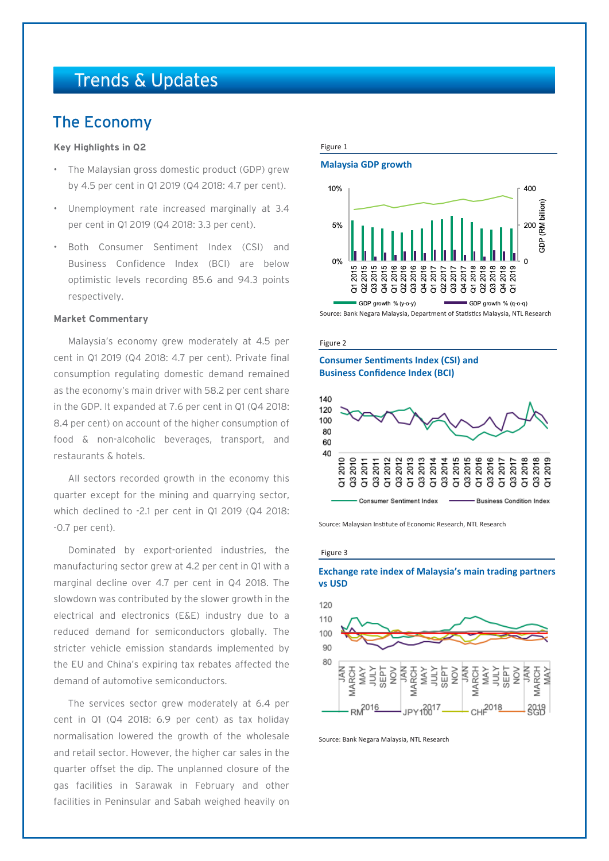# Trends & Updates

# The Economy

#### **Key Highlights in Q2**

- The Malaysian gross domestic product (GDP) grew by 4.5 per cent in Q1 2019 (Q4 2018: 4.7 per cent).
- Unemployment rate increased marginally at 3.4 per cent in Q1 2019 (Q4 2018: 3.3 per cent).
- Both Consumer Sentiment Index (CSI) and Business Confidence Index (BCI) are below optimistic levels recording 85.6 and 94.3 points respectively.

#### **Market Commentary**

Malaysia's economy grew moderately at 4.5 per cent in Q1 2019 (Q4 2018: 4.7 per cent). Private final consumption regulating domestic demand remained as the economy's main driver with 58.2 per cent share in the GDP. It expanded at 7.6 per cent in Q1 (Q4 2018: 8.4 per cent) on account of the higher consumption of food & non-alcoholic beverages, transport, and restaurants & hotels.

All sectors recorded growth in the economy this quarter except for the mining and quarrying sector, which declined to -2.1 per cent in Q1 2019 (Q4 2018: -0.7 per cent).

Dominated by export-oriented industries, the manufacturing sector grew at 4.2 per cent in Q1 with a marginal decline over 4.7 per cent in Q4 2018. The slowdown was contributed by the slower growth in the electrical and electronics (E&E) industry due to a reduced demand for semiconductors globally. The stricter vehicle emission standards implemented by the EU and China's expiring tax rebates affected the demand of automotive semiconductors.

The services sector grew moderately at 6.4 per cent in Q1 (Q4 2018: 6.9 per cent) as tax holiday normalisation lowered the growth of the wholesale and retail sector. However, the higher car sales in the quarter offset the dip. The unplanned closure of the gas facilities in Sarawak in February and other facilities in Peninsular and Sabah weighed heavily on

#### Figure 1

#### **Malaysia GDP growth**



Source: Bank Negara Malaysia, Department of Statistics Malaysia, NTL Research

#### Figure 2

#### **Consumer Sentiments Index (CSI) and Business Confidence Index (BCI)**



Source: Malaysian Institute of Economic Research, NTL Research

#### Figure 3





Source: Bank Negara Malaysia, NTL Research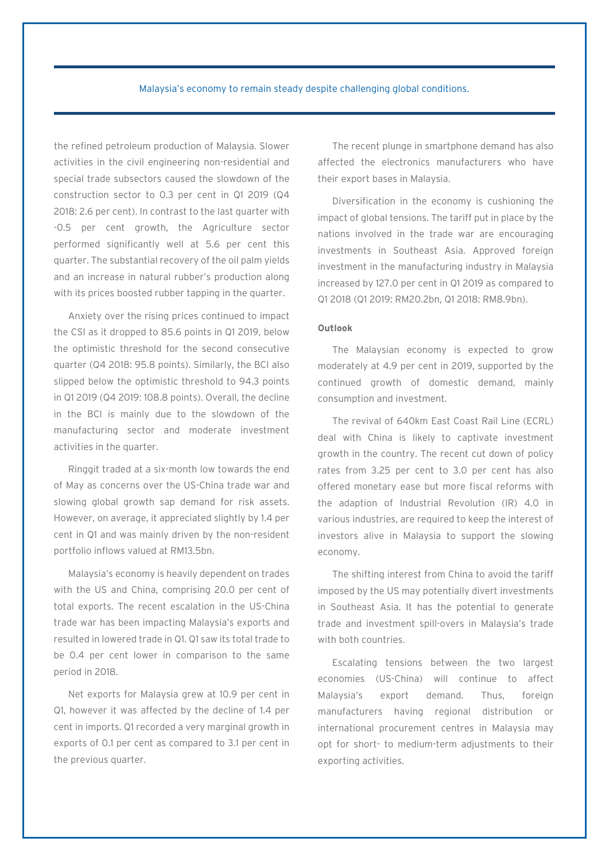#### Malaysia's economy to remain steady despite challenging global conditions.

the refined petroleum production of Malaysia. Slower activities in the civil engineering non-residential and special trade subsectors caused the slowdown of the construction sector to 0.3 per cent in Q1 2019 (Q4 2018: 2.6 per cent). In contrast to the last quarter with -0.5 per cent growth, the Agriculture sector performed significantly well at 5.6 per cent this quarter. The substantial recovery of the oil palm yields and an increase in natural rubber's production along with its prices boosted rubber tapping in the quarter.

Anxiety over the rising prices continued to impact the CSI as it dropped to 85.6 points in Q1 2019, below the optimistic threshold for the second consecutive quarter (Q4 2018: 95.8 points). Similarly, the BCI also slipped below the optimistic threshold to 94.3 points in Q1 2019 (Q4 2019: 108.8 points). Overall, the decline in the BCI is mainly due to the slowdown of the manufacturing sector and moderate investment activities in the quarter.

Ringgit traded at a six-month low towards the end of May as concerns over the US-China trade war and slowing global growth sap demand for risk assets. However, on average, it appreciated slightly by 1.4 per cent in Q1 and was mainly driven by the non-resident portfolio inflows valued at RM13.5bn.

Malaysia's economy is heavily dependent on trades with the US and China, comprising 20.0 per cent of total exports. The recent escalation in the US-China trade war has been impacting Malaysia's exports and resulted in lowered trade in Q1. Q1 saw its total trade to be 0.4 per cent lower in comparison to the same period in 2018.

Net exports for Malaysia grew at 10.9 per cent in Q1, however it was affected by the decline of 1.4 per cent in imports. Q1 recorded a very marginal growth in exports of 0.1 per cent as compared to 3.1 per cent in the previous quarter.

The recent plunge in smartphone demand has also affected the electronics manufacturers who have their export bases in Malaysia.

Diversification in the economy is cushioning the impact of global tensions. The tariff put in place by the nations involved in the trade war are encouraging investments in Southeast Asia. Approved foreign investment in the manufacturing industry in Malaysia increased by 127.0 per cent in Q1 2019 as compared to Q1 2018 (Q1 2019: RM20.2bn, Q1 2018: RM8.9bn).

#### **Outlook**

The Malaysian economy is expected to grow moderately at 4.9 per cent in 2019, supported by the continued growth of domestic demand, mainly consumption and investment.

The revival of 640km East Coast Rail Line (ECRL) deal with China is likely to captivate investment growth in the country. The recent cut down of policy rates from 3.25 per cent to 3.0 per cent has also offered monetary ease but more fiscal reforms with the adaption of Industrial Revolution (IR) 4.0 in various industries, are required to keep the interest of investors alive in Malaysia to support the slowing economy.

The shifting interest from China to avoid the tariff imposed by the US may potentially divert investments in Southeast Asia. It has the potential to generate trade and investment spill-overs in Malaysia's trade with both countries.

Escalating tensions between the two largest economies (US-China) will continue to affect Malaysia's export demand. Thus, foreign manufacturers having regional distribution or international procurement centres in Malaysia may opt for short- to medium-term adjustments to their exporting activities.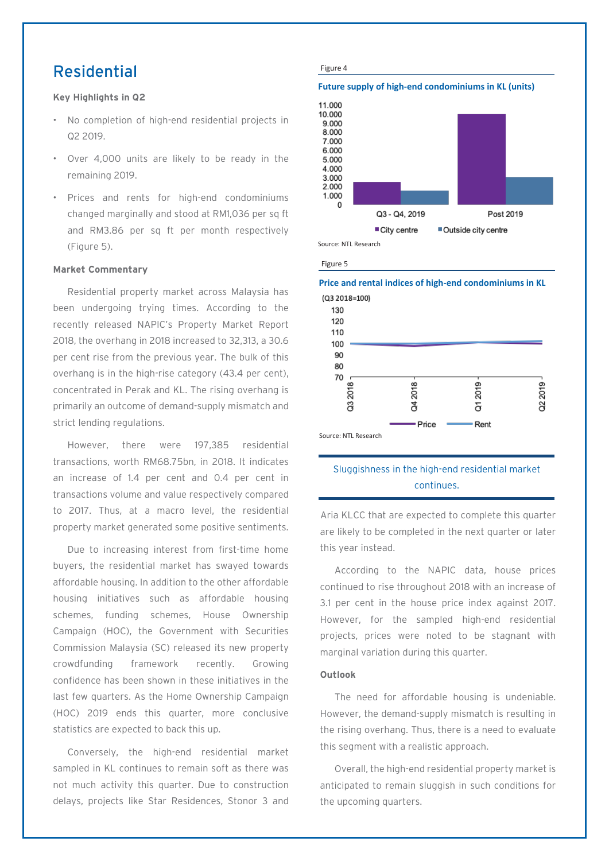# Residential

#### **Key Highlights in Q2**

- No completion of high-end residential projects in Q2 2019.
- Over 4,000 units are likely to be ready in the remaining 2019.
- Prices and rents for high-end condominiums changed marginally and stood at RM1,036 per sq ft and RM3.86 per sq ft per month respectively (Figure 5).

#### **Market Commentary**

Residential property market across Malaysia has been undergoing trying times. According to the recently released NAPIC's Property Market Report 2018, the overhang in 2018 increased to 32,313, a 30.6 per cent rise from the previous year. The bulk of this overhang is in the high-rise category (43.4 per cent), concentrated in Perak and KL. The rising overhang is primarily an outcome of demand-supply mismatch and strict lending regulations.

However, there were 197,385 residential transactions, worth RM68.75bn, in 2018. It indicates an increase of 1.4 per cent and 0.4 per cent in transactions volume and value respectively compared to 2017. Thus, at a macro level, the residential property market generated some positive sentiments.

Due to increasing interest from first-time home buyers, the residential market has swayed towards affordable housing. In addition to the other affordable housing initiatives such as affordable housing schemes, funding schemes, House Ownership Campaign (HOC), the Government with Securities Commission Malaysia (SC) released its new property crowdfunding framework recently. Growing confidence has been shown in these initiatives in the last few quarters. As the Home Ownership Campaign (HOC) 2019 ends this quarter, more conclusive statistics are expected to back this up.

Conversely, the high-end residential market sampled in KL continues to remain soft as there was not much activity this quarter. Due to construction delays, projects like Star Residences, Stonor 3 and



Source: NTL Research

Figure 5

**Price and rental indices of high-end condominiums in KL**



### Sluggishness in the high-end residential market continues.

Aria KLCC that are expected to complete this quarter are likely to be completed in the next quarter or later this year instead.

According to the NAPIC data, house prices continued to rise throughout 2018 with an increase of 3.1 per cent in the house price index against 2017. However, for the sampled high-end residential projects, prices were noted to be stagnant with marginal variation during this quarter.

#### **Outlook**

The need for affordable housing is undeniable. However, the demand-supply mismatch is resulting in the rising overhang. Thus, there is a need to evaluate this segment with a realistic approach.

Overall, the high-end residential property market is anticipated to remain sluggish in such conditions for the upcoming quarters.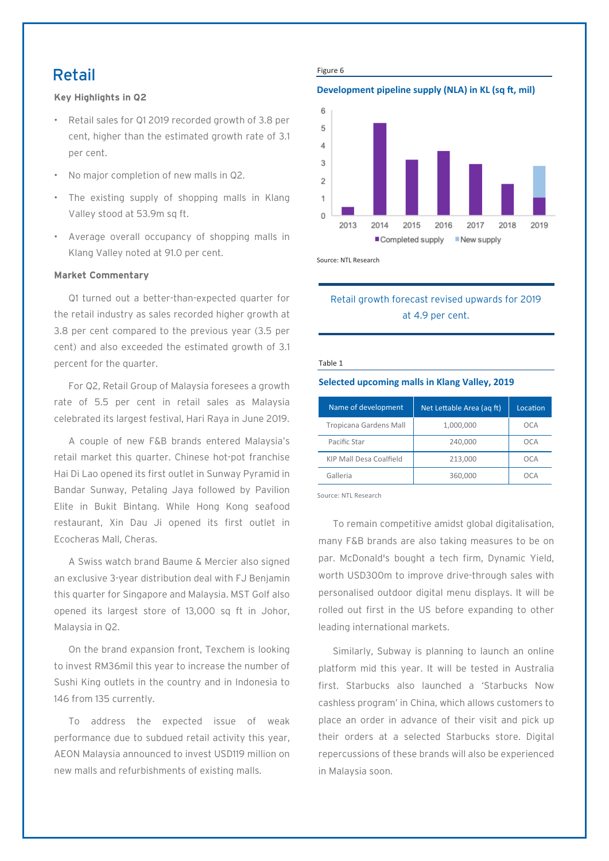## Retail

**Key Highlights in Q2**

- Retail sales for Q1 2019 recorded growth of 3.8 per cent, higher than the estimated growth rate of 3.1 per cent.
- No major completion of new malls in Q2.
- The existing supply of shopping malls in Klang Valley stood at 53.9m sq ft.
- Average overall occupancy of shopping malls in Klang Valley noted at 91.0 per cent.

#### **Market Commentary**

Q1 turned out a better-than-expected quarter for the retail industry as sales recorded higher growth at 3.8 per cent compared to the previous year (3.5 per cent) and also exceeded the estimated growth of 3.1 percent for the quarter.

For Q2, Retail Group of Malaysia foresees a growth rate of 5.5 per cent in retail sales as Malaysia celebrated its largest festival, Hari Raya in June 2019.

A couple of new F&B brands entered Malaysia's retail market this quarter. Chinese hot-pot franchise Hai Di Lao opened its first outlet in Sunway Pyramid in Bandar Sunway, Petaling Jaya followed by Pavilion Elite in Bukit Bintang. While Hong Kong seafood restaurant, Xin Dau Ji opened its first outlet in Ecocheras Mall, Cheras.

A Swiss watch brand Baume & Mercier also signed an exclusive 3-year distribution deal with FJ Benjamin this quarter for Singapore and Malaysia. MST Golf also opened its largest store of 13,000 sq ft in Johor, Malaysia in Q2.

On the brand expansion front, Texchem is looking to invest RM36mil this year to increase the number of Sushi King outlets in the country and in Indonesia to 146 from 135 currently.

To address the expected issue of weak performance due to subdued retail activity this year, AEON Malaysia announced to invest USD119 million on new malls and refurbishments of existing malls.

Figure 6

#### **Development pipeline supply (NLA) in KL (sq ft, mil)**



Source: NTL Research

### Retail growth forecast revised upwards for 2019 at 4.9 per cent.

#### Table 1

#### **Selected upcoming malls in Klang Valley, 2019**

| Name of development           | Net Lettable Area (ag ft) | Location |
|-------------------------------|---------------------------|----------|
| <b>Tropicana Gardens Mall</b> | 1,000,000                 | OCA      |
| Pacific Star                  | 240,000                   | OCA      |
| KIP Mall Desa Coalfield       | 213.000                   | OCA      |
| Galleria                      | 360,000                   |          |

Source: NTL Research

To remain competitive amidst global digitalisation, many F&B brands are also taking measures to be on par. McDonald's bought a tech firm, Dynamic Yield, worth USD300m to improve drive-through sales with personalised outdoor digital menu displays. It will be rolled out first in the US before expanding to other leading international markets.

Similarly, Subway is planning to launch an online platform mid this year. It will be tested in Australia first. Starbucks also launched a 'Starbucks Now cashless program' in China, which allows customers to place an order in advance of their visit and pick up their orders at a selected Starbucks store. Digital repercussions of these brands will also be experienced in Malaysia soon.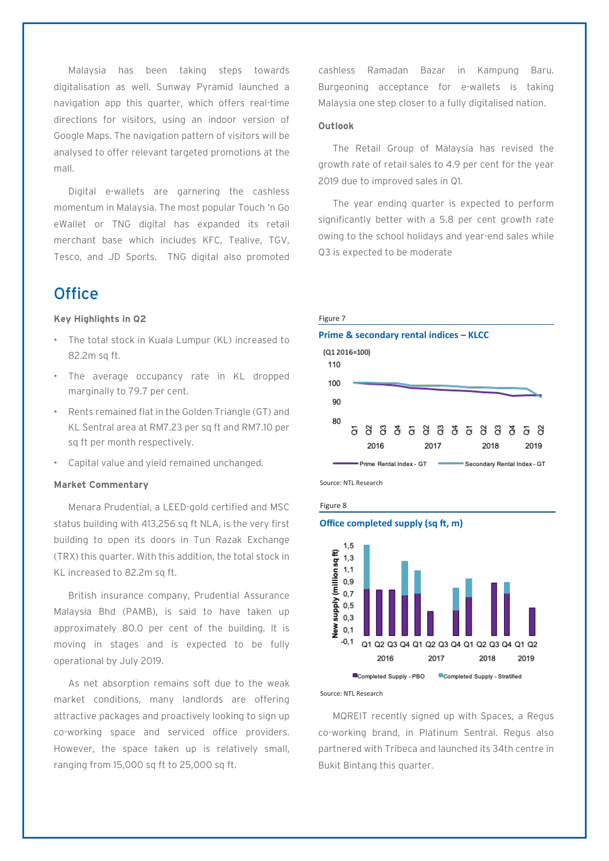Malaysia has been taking steps towards digitalisation as well. Sunway Pyramid launched a navigation app this quarter, which offers real-time directions for visitors, using an indoor version of Google Maps. The navigation pattern of visitors will be analysed to offer relevant targeted promotions at the mall.

Digital e-wallets are garnering the cashless momentum in Malaysia. The most popular Touch 'n Go eWallet or TNG digital has expanded its retail merchant base which includes KFC, Tealive, TGV, Tesco, and JD Sports. TNG digital also promoted

# **Office**

#### **Key Highlights in Q2**

- The total stock in Kuala Lumpur (KL) increased to 82.2m sq ft.
- The average occupancy rate in KL dropped marginally to 79.7 per cent.
- Rents remained flat in the Golden Triangle (GT) and KL Sentral area at RM7.23 per sq ft and RM7.10 per sq ft per month respectively.
- Capital value and yield remained unchanged.

#### **Market Commentary**

Menara Prudential, a LEED-gold certified and MSC status building with 413,256 sq ft NLA, is the very first building to open its doors in Tun Razak Exchange (TRX) this quarter. With this addition, the total stock in KL increased to 82.2m sq ft.

British insurance company, Prudential Assurance Malaysia Bhd (PAMB), is said to have taken up approximately 80.0 per cent of the building. It is moving in stages and is expected to be fully operational by July 2019.

As net absorption remains soft due to the weak market conditions, many landlords are offering attractive packages and proactively looking to sign up co-working space and serviced office providers. However, the space taken up is relatively small, ranging from 15,000 sq ft to 25,000 sq ft.

cashless Ramadan Bazar in Kampung Baru. Burgeoning acceptance for e-wallets is taking Malaysia one step closer to a fully digitalised nation.

#### **Outlook**

The Retail Group of Malaysia has revised the growth rate of retail sales to 4.9 per cent for the year 2019 due to improved sales in Q1.

The year ending quarter is expected to perform significantly better with a 5.8 per cent growth rate owing to the school holidays and year-end sales while Q3 is expected to be moderate









#### Source: NTL Research

MQREIT recently signed up with Spaces, a Regus co-working brand, in Platinum Sentral. Regus also partnered with Tribeca and launched its 34th centre in Bukit Bintang this quarter.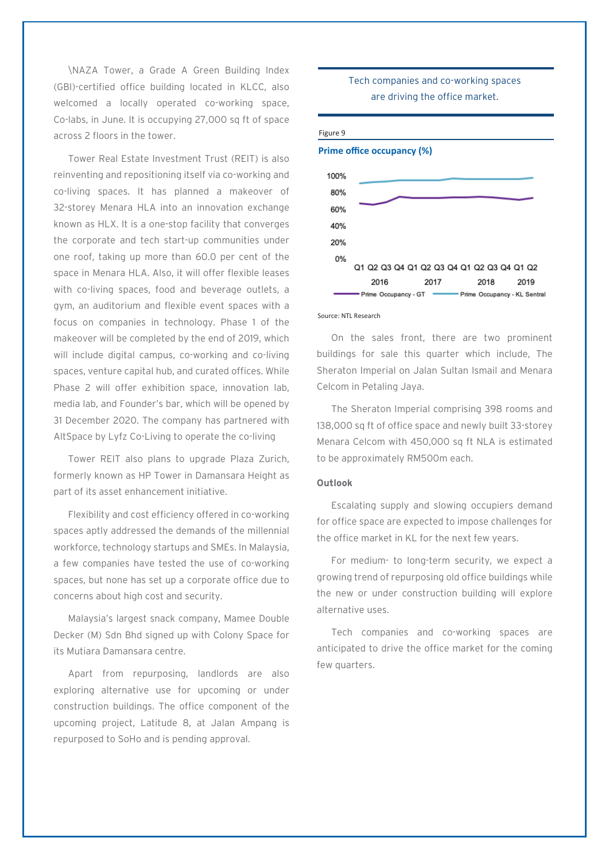\NAZA Tower, a Grade A Green Building Index (GBI)-certified office building located in KLCC, also welcomed a locally operated co-working space, Co-labs, in June. It is occupying 27,000 sq ft of space across 2 floors in the tower.

Tower Real Estate Investment Trust (REIT) is also reinventing and repositioning itself via co-working and co-living spaces. It has planned a makeover of 32-storey Menara HLA into an innovation exchange known as HLX. It is a one-stop facility that converges the corporate and tech start-up communities under one roof, taking up more than 60.0 per cent of the space in Menara HLA. Also, it will offer flexible leases with co-living spaces, food and beverage outlets, a gym, an auditorium and flexible event spaces with a focus on companies in technology. Phase 1 of the makeover will be completed by the end of 2019, which will include digital campus, co-working and co-living spaces, venture capital hub, and curated offices. While Phase 2 will offer exhibition space, innovation lab, media lab, and Founder's bar, which will be opened by 31 December 2020. The company has partnered with AltSpace by Lyfz Co-Living to operate the co-living

Tower REIT also plans to upgrade Plaza Zurich, formerly known as HP Tower in Damansara Height as part of its asset enhancement initiative.

Flexibility and cost efficiency offered in co-working spaces aptly addressed the demands of the millennial workforce, technology startups and SMEs. In Malaysia, a few companies have tested the use of co-working spaces, but none has set up a corporate office due to concerns about high cost and security.

Malaysia's largest snack company, Mamee Double Decker (M) Sdn Bhd signed up with Colony Space for its Mutiara Damansara centre.

Apart from repurposing, landlords are also exploring alternative use for upcoming or under construction buildings. The office component of the upcoming project, Latitude 8, at Jalan Ampang is repurposed to SoHo and is pending approval.

#### Tech companies and co-working spaces are driving the office market.

#### Figure 9



#### Source: NTL Research

On the sales front, there are two prominent buildings for sale this quarter which include, The Sheraton Imperial on Jalan Sultan Ismail and Menara Celcom in Petaling Jaya.

The Sheraton Imperial comprising 398 rooms and 138,000 sq ft of office space and newly built 33-storey Menara Celcom with 450,000 sq ft NLA is estimated to be approximately RM500m each.

#### **Outlook**

Escalating supply and slowing occupiers demand for office space are expected to impose challenges for the office market in KL for the next few years.

For medium- to long-term security, we expect a growing trend of repurposing old office buildings while the new or under construction building will explore alternative uses.

Tech companies and co-working spaces are anticipated to drive the office market for the coming few quarters.